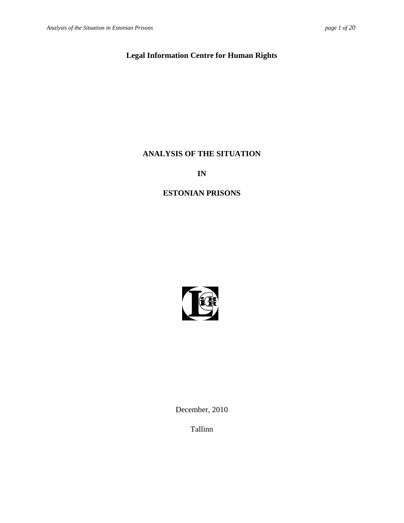# **Legal Information Centre for Human Rights**

# **ANALYSIS OF THE SITUATION**

**IN**

# **ESTONIAN PRISONS**



December, 2010

Tallinn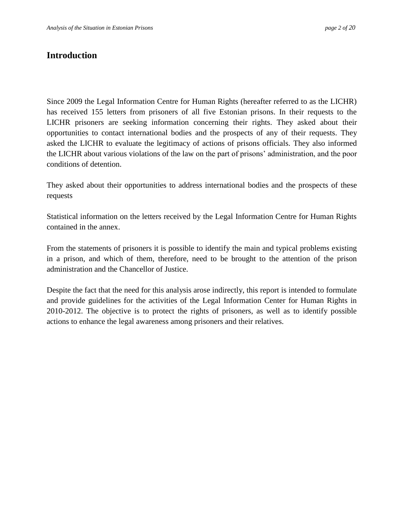# <span id="page-1-0"></span>**Introduction**

Since 2009 the Legal Information Centre for Human Rights (hereafter referred to as the LICHR) has received 155 letters from prisoners of all five Estonian prisons. In their requests to the LICHR prisoners are seeking information concerning their rights. They asked about their opportunities to contact international bodies and the prospects of any of their requests. They asked the LICHR to evaluate the legitimacy of actions of prisons officials. They also informed the LICHR about various violations of the law on the part of prisons' administration, and the poor conditions of detention.

They asked about their opportunities to address international bodies and the prospects of these requests

Statistical information on the letters received by the Legal Information Centre for Human Rights contained in the annex.

From the statements of prisoners it is possible to identify the main and typical problems existing in a prison, and which of them, therefore, need to be brought to the attention of the prison administration and the Chancellor of Justice.

Despite the fact that the need for this analysis arose indirectly, this report is intended to formulate and provide guidelines for the activities of the Legal Information Center for Human Rights in 2010-2012. The objective is to protect the rights of prisoners, as well as to identify possible actions to enhance the legal awareness among prisoners and their relatives.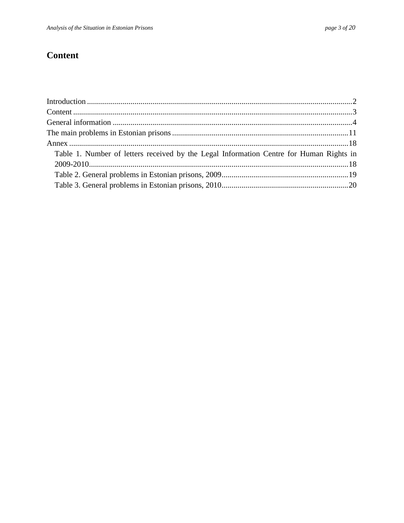# <span id="page-2-0"></span>**Content**

| Table 1. Number of letters received by the Legal Information Centre for Human Rights in |  |
|-----------------------------------------------------------------------------------------|--|
|                                                                                         |  |
|                                                                                         |  |
|                                                                                         |  |
|                                                                                         |  |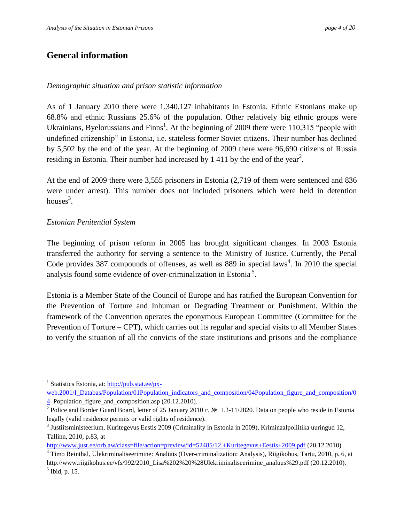# <span id="page-3-0"></span>**General information**

#### *Demographic situation and prison statistic information*

As of 1 January 2010 there were 1,340,127 inhabitants in Estonia. Ethnic Estonians make up 68.8% and ethnic Russians 25.6% of the population. Other relatively big ethnic groups were Ukrainians, Byelorussians and  $Finns<sup>1</sup>$ . At the beginning of 2009 there were 110,315 "people with undefined citizenship" in Estonia, i.e. stateless former Soviet citizens. Their number has declined by 5,502 by the end of the year. At the beginning of 2009 there were 96,690 citizens of Russia residing in Estonia. Their number had increased by 1 411 by the end of the year<sup>2</sup>.

At the end of 2009 there were 3,555 prisoners in Estonia (2,719 of them were sentenced and 836 were under arrest). This number does not included prisoners which were held in detention houses $3$ .

#### *Estonian Penitential System*

 $\overline{a}$ 

The beginning of prison reform in 2005 has brought significant changes. In 2003 Estonia transferred the authority for serving a sentence to the Ministry of Justice. Currently, the Penal Code provides 387 compounds of offenses, as well as 889 in special laws<sup>4</sup>. In 2010 the special analysis found some evidence of over-criminalization in Estonia<sup>5</sup>.

Estonia is a Member State of the Council of Europe and has ratified the European Convention for the Prevention of Torture and Inhuman or Degrading Treatment or Punishment. Within the framework of the Convention operates the eponymous European Committee (Committee for the Prevention of Torture – CPT), which carries out its regular and special visits to all Member States to verify the situation of all the convicts of the state institutions and prisons and the compliance

<sup>&</sup>lt;sup>1</sup> Statistics Estonia, at[: http://pub.stat.ee/px](http://pub.stat.ee/px-web.2001/I_Databas/Population/01Population_indicators_and_composition/04Population_figure_and_composition/04)web.2001/L\_Databas/Population/01Population\_indicators\_and\_composition/04Population\_figure\_and\_composition/0

[<sup>4</sup>](http://pub.stat.ee/px-web.2001/I_Databas/Population/01Population_indicators_and_composition/04Population_figure_and_composition/04) Population\_figure\_and\_composition.asp (20.12.2010).

<sup>&</sup>lt;sup>2</sup> Police and Border Guard Board, letter of 25 January 2010 г. № 1.3-11/2820. Data on people who reside in Estonia legally (valid residence permits or valid rights of residence).

<sup>&</sup>lt;sup>3</sup> Justiitsministeerium, Kuritegevus Eestis 2009 (Criminality in Estonia in 2009), Kriminaalpoliitika uuringud 12, Tallinn, 2010, p.83, at

<http://www.just.ee/orb.aw/class=file/action=preview/id=52485/12.+Kuritegevus+Eestis+2009.pdf> (20.12.2010).

<sup>4</sup> Timo Reinthal, Ülekriminaliseerimine: Analüüs (Over-criminalization: Analysis), Riigikohus, Tartu, 2010, p. 6, at http://www.riigikohus.ee/vfs/992/2010\_Lisa%202%20%28Ulekriminaliseerimine\_analuus%29.pdf (20.12.2010). 5 Ibid, p. 15.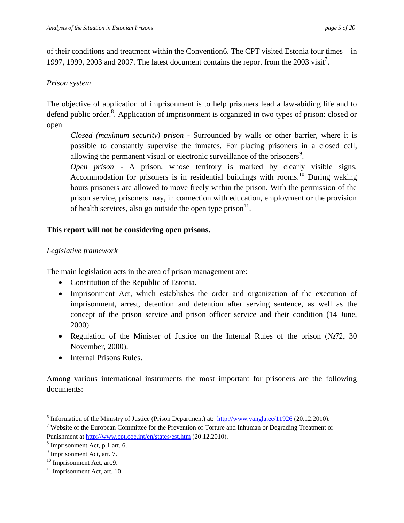of their conditions and treatment within the Convention6. The CPT visited Estonia four times – in 1997, 1999, 2003 and 2007. The latest document contains the report from the 2003 visit<sup>7</sup>.

#### *Prison system*

The objective of application of imprisonment is to help prisoners lead a law-abiding life and to defend public order.<sup>8</sup>. Application of imprisonment is organized in two types of prison: closed or open.

*Closed (maximum security) prison -* Surrounded by walls or other barrier, where it is possible to constantly supervise the inmates. For placing prisoners in a closed cell, allowing the permanent visual or electronic surveillance of the prisoners<sup>9</sup>.

*Open prison -* A prison, whose territory is marked by clearly visible signs. Accommodation for prisoners is in residential buildings with rooms.<sup>10</sup> During waking hours prisoners are allowed to move freely within the prison. With the permission of the prison service, prisoners may, in connection with education, employment or the provision of health services, also go outside the open type prison $11$ .

#### **This report will not be considering open prisons.**

#### *Legislative framework*

The main legislation acts in the area of prison management are:

- Constitution of the Republic of Estonia.
- Imprisonment Act, which establishes the order and organization of the execution of imprisonment, arrest, detention and detention after serving sentence, as well as the concept of the prison service and prison officer service and their condition (14 June, 2000).
- Regulation of the Minister of Justice on the Internal Rules of the prison ( $\mathbb{N}^2$ , 30 November, 2000).
- Internal Prisons Rules.

Among various international instruments the most important for prisoners are the following documents:

<sup>&</sup>lt;sup>6</sup> Information of the Ministry of Justice (Prison Department) at:  $\frac{http://www.vangla.ee/11926}{20.12.2010}$  $\frac{http://www.vangla.ee/11926}{20.12.2010}$  $\frac{http://www.vangla.ee/11926}{20.12.2010}$ .

<sup>7</sup> Website of the European Committee for the Prevention of Torture and Inhuman or Degrading Treatment or Punishment at<http://www.cpt.coe.int/en/states/est.htm> (20.12.2010).

<sup>8</sup> Imprisonment Act, p.1 art. 6.

<sup>&</sup>lt;sup>9</sup> Imprisonment Act, art. 7.

<sup>&</sup>lt;sup>10</sup> Imprisonment Act, art.9.

 $11$  Imprisonment Act, art. 10.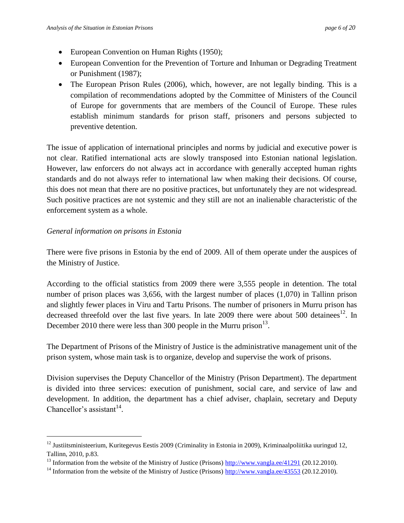- European Convention on Human Rights (1950);
- European Convention for the Prevention of Torture and Inhuman or Degrading Treatment or Punishment (1987);
- The European Prison Rules (2006), which, however, are not legally binding. This is a compilation of recommendations adopted by the Committee of Ministers of the Council of Europe for governments that are members of the Council of Europe. These rules establish minimum standards for prison staff, prisoners and persons subjected to preventive detention.

The issue of application of international principles and norms by judicial and executive power is not clear. Ratified international acts are slowly transposed into Estonian national legislation. However, law enforcers do not always act in accordance with generally accepted human rights standards and do not always refer to international law when making their decisions. Of course, this does not mean that there are no positive practices, but unfortunately they are not widespread. Such positive practices are not systemic and they still are not an inalienable characteristic of the enforcement system as a whole.

#### *General information on prisons in Estonia*

 $\overline{a}$ 

There were five prisons in Estonia by the end of 2009. All of them operate under the auspices of the Ministry of Justice.

According to the official statistics from 2009 there were 3,555 people in detention. The total number of prison places was 3,656, with the largest number of places (1,070) in Tallinn prison and slightly fewer places in Viru and Tartu Prisons. The number of prisoners in Murru prison has decreased threefold over the last five years. In late 2009 there were about 500 detainees<sup>12</sup>. In December 2010 there were less than 300 people in the Murru prison $^{13}$ .

The Department of Prisons of the Ministry of Justice is the administrative management unit of the prison system, whose main task is to organize, develop and supervise the work of prisons.

Division supervises the Deputy Chancellor of the Ministry (Prison Department). The department is divided into three services: execution of punishment, social care, and service of law and development. In addition, the department has a chief adviser, chaplain, secretary and Deputy Chancellor's assistant $14$ .

<sup>&</sup>lt;sup>12</sup> Justiitsministeerium, Kuritegevus Eestis 2009 (Criminality in Estonia in 2009), Kriminaalpoliitika uuringud 12, Tallinn, 2010, p.83.

<sup>&</sup>lt;sup>13</sup> Information from the website of the Ministry of Justice (Prisons)<http://www.vangla.ee/41291> (20.12.2010).

<sup>&</sup>lt;sup>14</sup> Information from the website of the Ministry of Justice (Prisons) <http://www.vangla.ee/43553> (20.12.2010).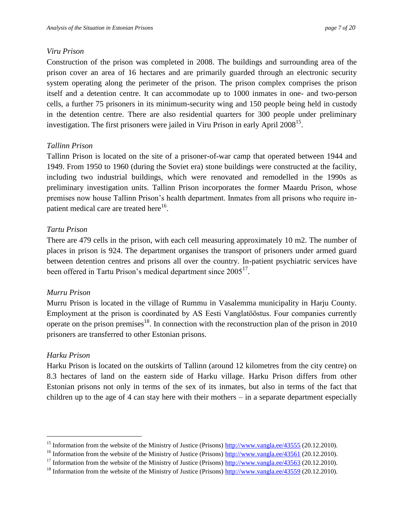#### *Viru Prison*

Construction of the prison was completed in 2008. The buildings and surrounding area of the prison cover an area of 16 hectares and are primarily guarded through an electronic security system operating along the perimeter of the prison. The prison complex comprises the prison itself and a detention centre. It can accommodate up to 1000 inmates in one- and two-person cells, a further 75 prisoners in its minimum-security wing and 150 people being held in custody in the detention centre. There are also residential quarters for 300 people under preliminary investigation. The first prisoners were jailed in Viru Prison in early April 2008<sup>15</sup>.

### *Tallinn Prison*

Tallinn Prison is located on the site of a prisoner-of-war camp that operated between 1944 and 1949. From 1950 to 1960 (during the Soviet era) stone buildings were constructed at the facility, including two industrial buildings, which were renovated and remodelled in the 1990s as preliminary investigation units. Tallinn Prison incorporates the former Maardu Prison, whose premises now house Tallinn Prison's health department. Inmates from all prisons who require inpatient medical care are treated here<sup>16</sup>.

## *Tartu Prison*

There are 479 cells in the prison, with each cell measuring approximately 10 m2. The number of places in prison is 924. The department organises the transport of prisoners under armed guard between detention centres and prisons all over the country. In-patient psychiatric services have been offered in Tartu Prison's medical department since 2005<sup>17</sup>.

### *Murru Prison*

Murru Prison is located in the village of Rummu in Vasalemma municipality in Harju County. Employment at the prison is coordinated by AS Eesti Vanglatööstus. Four companies currently operate on the prison premises<sup>18</sup>. In connection with the reconstruction plan of the prison in 2010 prisoners are transferred to other Estonian prisons.

### *Harku Prison*

 $\overline{a}$ 

Harku Prison is located on the outskirts of Tallinn (around 12 kilometres from the city centre) on 8.3 hectares of land on the eastern side of Harku village. Harku Prison differs from other Estonian prisons not only in terms of the sex of its inmates, but also in terms of the fact that children up to the age of 4 can stay here with their mothers – in a separate department especially

<sup>&</sup>lt;sup>15</sup> Information from the website of the Ministry of Justice (Prisons) <http://www.vangla.ee/43555> (20.12.2010).

<sup>&</sup>lt;sup>16</sup> Information from the website of the Ministry of Justice (Prisons)<http://www.vangla.ee/43561> (20.12.2010).

<sup>&</sup>lt;sup>17</sup> Information from the website of the Ministry of Justice (Prisons)  $\frac{http://www.vangla.ee/43563}{http://www.vangla.ee/43563}$  $\frac{http://www.vangla.ee/43563}{http://www.vangla.ee/43563}$  $\frac{http://www.vangla.ee/43563}{http://www.vangla.ee/43563}$  (20.12.2010).

<sup>&</sup>lt;sup>18</sup> Information from the website of the Ministry of Justice (Prisons)<http://www.vangla.ee/43559> (20.12.2010).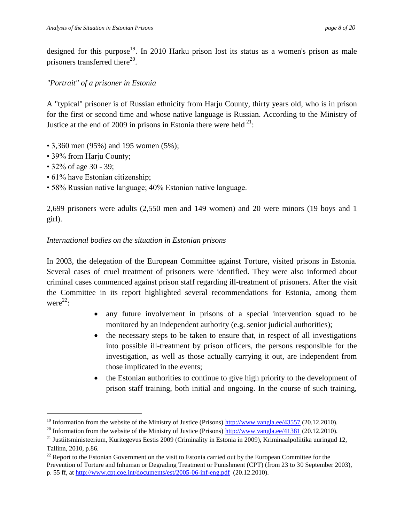designed for this purpose<sup>19</sup>. In 2010 Harku prison lost its status as a women's prison as male prisoners transferred there $^{20}$ .

#### *"Portrait" of a prisoner in Estonia*

A "typical" prisoner is of Russian ethnicity from Harju County, thirty years old, who is in prison for the first or second time and whose native language is Russian. According to the Ministry of Justice at the end of 2009 in prisons in Estonia there were held  $21$ :

- 3,360 men (95%) and 195 women (5%);
- 39% from Harju County;
- 32% of age 30 39;

 $\overline{a}$ 

- 61% have Estonian citizenship;
- 58% Russian native language; 40% Estonian native language.

2,699 prisoners were adults (2,550 men and 149 women) and 20 were minors (19 boys and 1 girl).

### *International bodies on the situation in Estonian prisons*

In 2003, the delegation of the European Committee against Torture, visited prisons in Estonia. Several cases of cruel treatment of prisoners were identified. They were also informed about criminal cases commenced against prison staff regarding ill-treatment of prisoners. After the visit the Committee in its report highlighted several recommendations for Estonia, among them were $^{22}$ :

- any future involvement in prisons of a special intervention squad to be monitored by an independent authority (e.g. senior judicial authorities);
- the necessary steps to be taken to ensure that, in respect of all investigations into possible ill-treatment by prison officers, the persons responsible for the investigation, as well as those actually carrying it out, are independent from those implicated in the events;
- the Estonian authorities to continue to give high priority to the development of prison staff training, both initial and ongoing. In the course of such training,

<sup>&</sup>lt;sup>19</sup> Information from the website of the Ministry of Justice (Prisons) <http://www.vangla.ee/43557> (20.12.2010).

<sup>&</sup>lt;sup>20</sup> Information from the website of the Ministry of Justice (Prisons)  $\frac{http://www.vangla.ee/41381}{http://www.vangla.ee/41381})$ 

 $21$  Justiitsministeerium, Kuritegevus Eestis 2009 (Criminality in Estonia in 2009), Kriminaalpoliitika uuringud 12, Tallinn, 2010, p.86.

 $22$  Report to the Estonian Government on the visit to Estonia carried out by the European Committee for the Prevention of Torture and Inhuman or Degrading Treatment or Punishment (CPT) (from 23 to 30 September 2003), p. 55 ff, a[t http://www.cpt.coe.int/documents/est/2005-06-inf-eng.pdf](http://www.cpt.coe.int/documents/est/2005-06-inf-eng.pdf) (20.12.2010).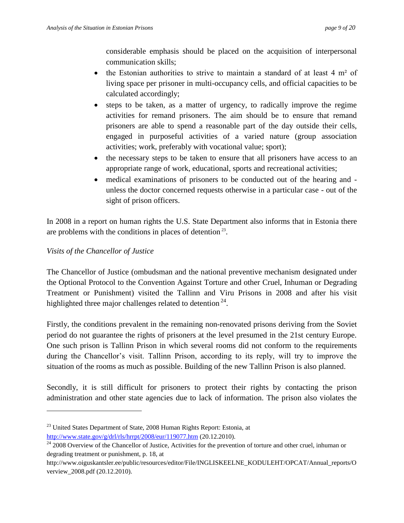considerable emphasis should be placed on the acquisition of interpersonal communication skills;

- $\bullet$  the Estonian authorities to strive to maintain a standard of at least 4 m<sup>2</sup> of living space per prisoner in multi-occupancy cells, and official capacities to be calculated accordingly;
- steps to be taken, as a matter of urgency, to radically improve the regime activities for remand prisoners. The aim should be to ensure that remand prisoners are able to spend a reasonable part of the day outside their cells, engaged in purposeful activities of a varied nature (group association activities; work, preferably with vocational value; sport);
- the necessary steps to be taken to ensure that all prisoners have access to an appropriate range of work, educational, sports and recreational activities;
- medical examinations of prisoners to be conducted out of the hearing and unless the doctor concerned requests otherwise in a particular case - out of the sight of prison officers.

In 2008 in a report on human rights the U.S. State Department also informs that in Estonia there are problems with the conditions in places of detention<sup>23</sup>.

### *Visits of the Chancellor of Justice*

 $\overline{a}$ 

The Chancellor of Justice (ombudsman and the national preventive mechanism designated under the Optional Protocol to the Convention Against Torture and other Cruel, Inhuman or Degrading Treatment or Punishment) visited the Tallinn and Viru Prisons in 2008 and after his visit highlighted three major challenges related to detention  $24$ .

Firstly, the conditions prevalent in the remaining non-renovated prisons deriving from the Soviet period do not guarantee the rights of prisoners at the level presumed in the 21st century Europe. One such prison is Tallinn Prison in which several rooms did not conform to the requirements during the Chancellor's visit. Tallinn Prison, according to its reply, will try to improve the situation of the rooms as much as possible. Building of the new Tallinn Prison is also planned.

Secondly, it is still difficult for prisoners to protect their rights by contacting the prison administration and other state agencies due to lack of information. The prison also violates the

<sup>&</sup>lt;sup>23</sup> United States Department of State, 2008 Human Rights Report: Estonia, at <http://www.state.gov/g/drl/rls/hrrpt/2008/eur/119077.htm> (20.12.2010).

 $24$  2008 Overview of the Chancellor of Justice, Activities for the prevention of torture and other cruel, inhuman or degrading treatment or punishment, p. 18, at

http://www.oiguskantsler.ee/public/resources/editor/File/INGLISKEELNE\_KODULEHT/OPCAT/Annual\_reports/O verview\_2008.pdf (20.12.2010).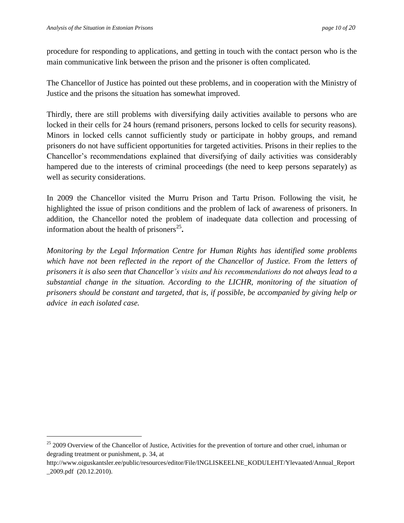$\overline{a}$ 

procedure for responding to applications, and getting in touch with the contact person who is the main communicative link between the prison and the prisoner is often complicated.

The Chancellor of Justice has pointed out these problems, and in cooperation with the Ministry of Justice and the prisons the situation has somewhat improved.

Thirdly, there are still problems with diversifying daily activities available to persons who are locked in their cells for 24 hours (remand prisoners, persons locked to cells for security reasons). Minors in locked cells cannot sufficiently study or participate in hobby groups, and remand prisoners do not have sufficient opportunities for targeted activities. Prisons in their replies to the Chancellor's recommendations explained that diversifying of daily activities was considerably hampered due to the interests of criminal proceedings (the need to keep persons separately) as well as security considerations.

In 2009 the Chancellor visited the Murru Prison and Tartu Prison. Following the visit, he highlighted the issue of prison conditions and the problem of lack of awareness of prisoners. In addition, the Chancellor noted the problem of inadequate data collection and processing of information about the health of prisoners<sup>25</sup>.

*Monitoring by the Legal Information Centre for Human Rights has identified some problems which have not been reflected in the report of the Chancellor of Justice. From the letters of prisoners it is also seen that Chancellor's visits and his recommendations do not always lead to a substantial change in the situation. According to the LICHR, monitoring of the situation of prisoners should be constant and targeted, that is, if possible, be accompanied by giving help or advice in each isolated case.*

<sup>&</sup>lt;sup>25</sup> 2009 Overview of the Chancellor of Justice, Activities for the prevention of torture and other cruel, inhuman or degrading treatment or punishment, p. 34, at

http://www.oiguskantsler.ee/public/resources/editor/File/INGLISKEELNE\_KODULEHT/Ylevaated/Annual\_Report \_2009.pdf (20.12.2010).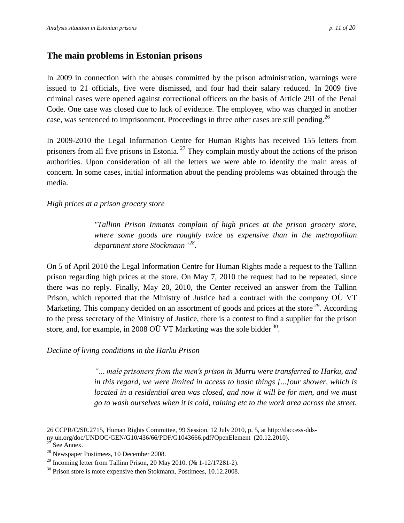# <span id="page-10-0"></span>**The main problems in Estonian prisons**

In 2009 in connection with the abuses committed by the prison administration, warnings were issued to 21 officials, five were dismissed, and four had their salary reduced. In 2009 five criminal cases were opened against correctional officers on the basis of Article 291 of the Penal Code. One case was closed due to lack of evidence. The employee, who was charged in another case, was sentenced to imprisonment. Proceedings in three other cases are still pending.<sup>26</sup>

In 2009-2010 the Legal Information Centre for Human Rights has received 155 letters from prisoners from all five prisons in Estonia.<sup>27</sup> They complain mostly about the actions of the prison authorities. Upon consideration of all the letters we were able to identify the main areas of concern. In some cases, initial information about the pending problems was obtained through the media.

#### *High prices at a prison grocery store*

*"Tallinn Prison Inmates complain of high prices at the prison grocery store, where some goods are roughly twice as expensive than in the metropolitan department store Stockmann" 28 .*

On 5 of April 2010 the Legal Information Centre for Human Rights made a request to the Tallinn prison regarding high prices at the store. On May 7, 2010 the request had to be repeated, since there was no reply. Finally, May 20, 2010, the Center received an answer from the Tallinn Prison, which reported that the Ministry of Justice had a contract with the company OÜ VT Marketing. This company decided on an assortment of goods and prices at the store  $^{29}$ . According to the press secretary of the Ministry of Justice, there is a contest to find a supplier for the prison store, and, for example, in 2008 OÜ VT Marketing was the sole bidder  $30$ .

*Decline of living conditions in the Harku Prison*

*"... male prisoners from the men's prison in Murru were transferred to Harku, and in this regard, we were limited in access to basic things [...]our shower, which is*  located in a residential area was closed, and now it will be for men, and we must *go to wash ourselves when it is cold, raining etc to the work area across the street.* 

<sup>26</sup> CCPR/C/SR.2715, Human Rights Committee, 99 Session. 12 July 2010, p. 5, at http://daccess-ddsny.un.org/doc/UNDOC/GEN/G10/436/66/PDF/G1043666.pdf?OpenElement (20.12.2010).

 $^{27}$  See Annex.

<sup>28</sup> Newspaper Postimees, 10 December 2008.

<sup>&</sup>lt;sup>29</sup> Incoming letter from Tallinn Prison, 20 May 2010. (№ 1-12/17281-2).

<sup>&</sup>lt;sup>30</sup> Prison store is more expensive then Stokmann, Postimees, 10.12.2008.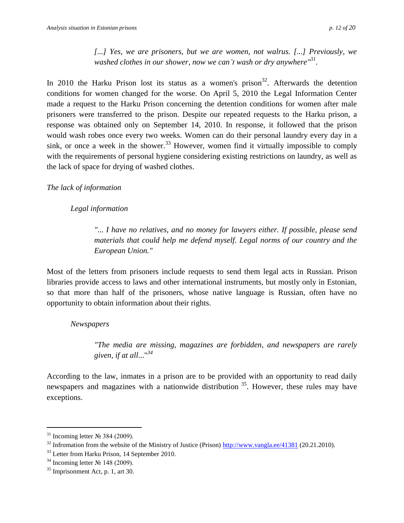*[...] Yes, we are prisoners, but we are women, not walrus. [...] Previously, we washed clothes in our shower, now we can't wash or dry anywhere" 31 .*

In 2010 the Harku Prison lost its status as a women's prison<sup>32</sup>. Afterwards the detention conditions for women changed for the worse. On April 5, 2010 the Legal Information Center made a request to the Harku Prison concerning the detention conditions for women after male prisoners were transferred to the prison. Despite our repeated requests to the Harku prison, a response was obtained only on September 14, 2010. In response, it followed that the prison would wash robes once every two weeks. Women can do their personal laundry every day in a sink, or once a week in the shower.<sup>33</sup> However, women find it virtually impossible to comply with the requirements of personal hygiene considering existing restrictions on laundry, as well as the lack of space for drying of washed clothes.

### *The lack of information*

## *Legal information*

*"... I have no relatives, and no money for lawyers either. If possible, please send materials that could help me defend myself. Legal norms of our country and the European Union."*

Most of the letters from prisoners include requests to send them legal acts in Russian. Prison libraries provide access to laws and other international instruments, but mostly only in Estonian, so that more than half of the prisoners, whose native language is Russian, often have no opportunity to obtain information about their rights.

### *Newspapers*

*"The media are missing, magazines are forbidden, and newspapers are rarely given, if at all*..." *34*

According to the law, inmates in a prison are to be provided with an opportunity to read daily newspapers and magazines with a nationwide distribution <sup>35</sup>. However, these rules may have exceptions.

<sup>&</sup>lt;sup>31</sup> Incoming letter  $\mathcal{N}_2$  384 (2009).

<sup>&</sup>lt;sup>32</sup> Infromation from the website of the Ministry of Justice (Prison) <http://www.vangla.ee/41381> (20.21.2010).

<sup>&</sup>lt;sup>33</sup> Letter from Harku Prison, 14 September 2010.

 $34$  Incoming letter  $\mathcal{N}_2$  148 (2009).

 $35$  Imprisonment Act, p. 1, art 30.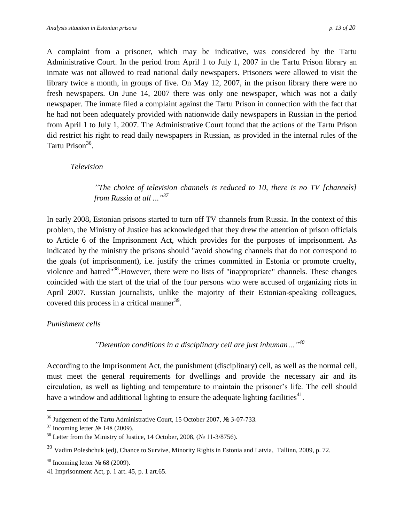A complaint from a prisoner, which may be indicative, was considered by the Tartu Administrative Court. In the period from April 1 to July 1, 2007 in the Tartu Prison library an inmate was not allowed to read national daily newspapers. Prisoners were allowed to visit the library twice a month, in groups of five. On May 12, 2007, in the prison library there were no fresh newspapers. On June 14, 2007 there was only one newspaper, which was not a daily newspaper. The inmate filed a complaint against the Tartu Prison in connection with the fact that he had not been adequately provided with nationwide daily newspapers in Russian in the period from April 1 to July 1, 2007. The Administrative Court found that the actions of the Tartu Prison did restrict his right to read daily newspapers in Russian, as provided in the internal rules of the Tartu Prison<sup>36</sup>.

#### *Television*

*"The choice of television channels is reduced to 10, there is no TV [channels] from Russia at all .*..*" 37*

In early 2008, Estonian prisons started to turn off TV channels from Russia. In the context of this problem, the Ministry of Justice has acknowledged that they drew the attention of prison officials to Article 6 of the Imprisonment Act, which provides for the purposes of imprisonment. As indicated by the ministry the prisons should "avoid showing channels that do not correspond to the goals (of imprisonment), i.e. justify the crimes committed in Estonia or promote cruelty, violence and hatred"<sup>38</sup>. However, there were no lists of "inappropriate" channels. These changes coincided with the start of the trial of the four persons who were accused of organizing riots in April 2007. Russian journalists, unlike the majority of their Estonian-speaking colleagues, covered this process in a critical manner $39$ .

#### *Punishment cells*

 $\overline{a}$ 

*"Detention conditions in a disciplinary cell are just inhuman…"<sup>40</sup>*

According to the Imprisonment Act, the punishment (disciplinary) cell, as well as the normal cell, must meet the general requirements for dwellings and provide the necessary air and its circulation, as well as lighting and temperature to maintain the prisoner's life. The cell should have a window and additional lighting to ensure the adequate lighting facilities<sup>41</sup>.

<sup>36</sup> Judgement of the Tartu Administrative Court, 15 October 2007, № 3-07-733.

 $37$  Incoming letter No 148 (2009).

<sup>&</sup>lt;sup>38</sup> Letter from the Ministry of Justice, 14 October, 2008,  $(N_2 11-3/8756)$ .

<sup>39</sup> Vadim Poleshchuk (ed), Chance to Survive, Minority Rights in Estonia and Latvia, Tallinn, 2009, p. 72.

 $40$  Incoming letter  $\mathcal{N}_2$  68 (2009).

<sup>41</sup> Imprisonment Act, p. 1 art. 45, p. 1 art.65.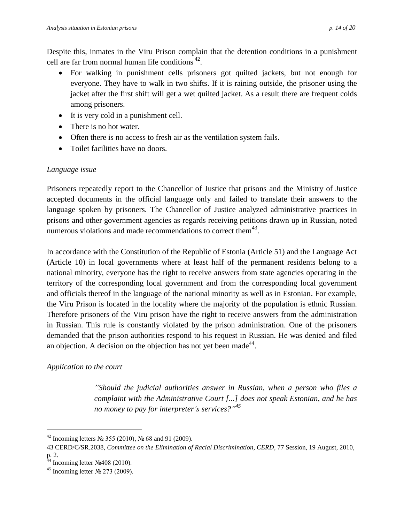Despite this, inmates in the Viru Prison complain that the detention conditions in a punishment cell are far from normal human life conditions  $42$ .

- For walking in punishment cells prisoners got quilted jackets, but not enough for everyone. They have to walk in two shifts. If it is raining outside, the prisoner using the jacket after the first shift will get a wet quilted jacket. As a result there are frequent colds among prisoners.
- It is very cold in a punishment cell.
- There is no hot water.
- Often there is no access to fresh air as the ventilation system fails.
- Toilet facilities have no doors.

# *Language issue*

Prisoners repeatedly report to the Chancellor of Justice that prisons and the Ministry of Justice accepted documents in the official language only and failed to translate their answers to the language spoken by prisoners. The Chancellor of Justice analyzed administrative practices in prisons and other government agencies as regards receiving petitions drawn up in Russian, noted numerous violations and made recommendations to correct them $43$ .

In accordance with the Constitution of the Republic of Estonia (Article 51) and the Language Act (Article 10) in local governments where at least half of the permanent residents belong to a national minority, everyone has the right to receive answers from state agencies operating in the territory of the corresponding local government and from the corresponding local government and officials thereof in the language of the national minority as well as in Estonian. For example, the Viru Prison is located in the locality where the majority of the population is ethnic Russian. Therefore prisoners of the Viru prison have the right to receive answers from the administration in Russian. This rule is constantly violated by the prison administration. One of the prisoners demanded that the prison authorities respond to his request in Russian. He was denied and filed an objection. A decision on the objection has not yet been made<sup>44</sup>.

# *Application to the court*

*"Should the judicial authorities answer in Russian, when a person who files a complaint with the Administrative Court [...] does not speak Estonian, and he has no money to pay for interpreter's services?" 45*

<sup>&</sup>lt;sup>42</sup> Incoming letters № 355 (2010), № 68 and 91 (2009).

<sup>43</sup> CERD/C/SR.2038, *Committee on the Elimination of Racial Discrimination, CERD*, 77 Session, 19 August, 2010,  $p. 2.$ 

<sup>&</sup>lt;sup>4</sup> Incoming letter  $\mathcal{N}$ <sup>408</sup> (2010).

<sup>&</sup>lt;sup>45</sup> Incoming letter  $\mathcal{N}_2$  273 (2009).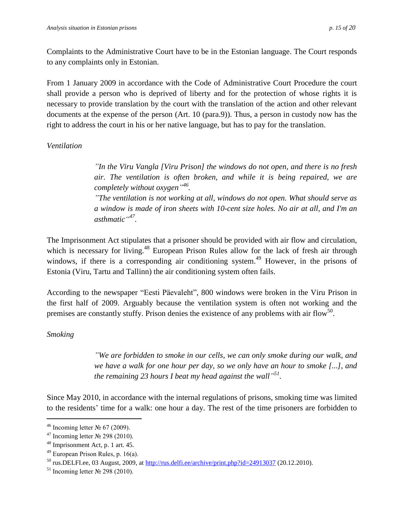Complaints to the Administrative Court have to be in the Estonian language. The Court responds to any complaints only in Estonian.

From 1 January 2009 in accordance with the Code of Administrative Court Procedure the court shall provide a person who is deprived of liberty and for the protection of whose rights it is necessary to provide translation by the court with the translation of the action and other relevant documents at the expense of the person (Art. 10 (para.9)). Thus, a person in custody now has the right to address the court in his or her native language, but has to pay for the translation.

## *Ventilation*

*"In the Viru Vangla [Viru Prison] the windows do not open, and there is no fresh air. The ventilation is often broken, and while it is being repaired, we are completely without oxygen" 46 .*

*"The ventilation is not working at all, windows do not open. What should serve as a window is made of iron sheets with 10-cent size holes. No air at all, and I'm an asthmatic" 47 .* 

The Imprisonment Act stipulates that a prisoner should be provided with air flow and circulation, which is necessary for living.<sup>48</sup> European Prison Rules allow for the lack of fresh air through windows, if there is a corresponding air conditioning system.<sup>49</sup> However, in the prisons of Estonia (Viru, Tartu and Tallinn) the air conditioning system often fails.

According to the newspaper "Eesti Päevaleht", 800 windows were broken in the Viru Prison in the first half of 2009. Arguably because the ventilation system is often not working and the premises are constantly stuffy. Prison denies the existence of any problems with air flow<sup>50</sup>.

### *Smoking*

 $\overline{a}$ 

*"We are forbidden to smoke in our cells, we can only smoke during our walk, and we have a walk for one hour per day, so we only have an hour to smoke [...], and the remaining 23 hours I beat my head against the wall" 51 .*

Since May 2010, in accordance with the internal regulations of prisons, smoking time was limited to the residents' time for a walk: one hour a day. The rest of the time prisoners are forbidden to

<sup>&</sup>lt;sup>46</sup> Incoming letter  $\mathcal{N}_2$  67 (2009).

<sup>&</sup>lt;sup>47</sup> Incoming letter  $\mathcal{N}_2$  298 (2010).

<sup>48</sup> Imprisonment Act, p. 1 art. 45.

 $49$  European Prison Rules, p. 16(a).

 $^{50}$  rus.DELFI.ee, 03 August, 2009, at<http://rus.delfi.ee/archive/print.php?id=24913037> (20.12.2010).

<sup>&</sup>lt;sup>51</sup> Incoming letter No 298 (2010).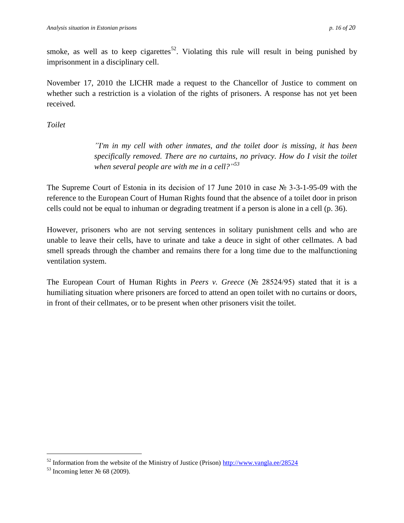smoke, as well as to keep cigarettes<sup>52</sup>. Violating this rule will result in being punished by imprisonment in a disciplinary cell.

November 17, 2010 the LICHR made a request to the Chancellor of Justice to comment on whether such a restriction is a violation of the rights of prisoners. A response has not yet been received.

*Toilet*

*"I'm in my cell with other inmates, and the toilet door is missing, it has been specifically removed. There are no curtains, no privacy. How do I visit the toilet when several people are with me in a cell?" 53*

The Supreme Court of Estonia in its decision of 17 June 2010 in case № 3-3-1-95-09 with the reference to the European Court of Human Rights found that the absence of a toilet door in prison cells could not be equal to inhuman or degrading treatment if a person is alone in a cell (p. 36).

However, prisoners who are not serving sentences in solitary punishment cells and who are unable to leave their cells, have to urinate and take a deuce in sight of other cellmates. A bad smell spreads through the chamber and remains there for a long time due to the malfunctioning ventilation system.

The European Court of Human Rights in *Peers v. Greece* (№ 28524/95) stated that it is a humiliating situation where prisoners are forced to attend an open toilet with no curtains or doors, in front of their cellmates, or to be present when other prisoners visit the toilet.

 $52$  Information from the website of the Ministry of Justice (Prison)<http://www.vangla.ee/28524>

<sup>&</sup>lt;sup>53</sup> Incoming letter  $\mathcal{N}_2$  68 (2009).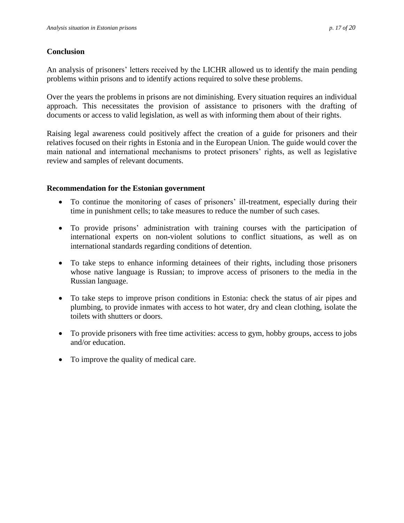### **Conclusion**

An analysis of prisoners' letters received by the LICHR allowed us to identify the main pending problems within prisons and to identify actions required to solve these problems.

Over the years the problems in prisons are not diminishing. Every situation requires an individual approach. This necessitates the provision of assistance to prisoners with the drafting of documents or access to valid legislation, as well as with informing them about of their rights.

Raising legal awareness could positively affect the creation of a guide for prisoners and their relatives focused on their rights in Estonia and in the European Union. The guide would cover the main national and international mechanisms to protect prisoners' rights, as well as legislative review and samples of relevant documents.

### **Recommendation for the Estonian government**

- To continue the monitoring of cases of prisoners' ill-treatment, especially during their time in punishment cells; to take measures to reduce the number of such cases.
- To provide prisons' administration with training courses with the participation of international experts on non-violent solutions to conflict situations, as well as on international standards regarding conditions of detention.
- To take steps to enhance informing detainees of their rights, including those prisoners whose native language is Russian; to improve access of prisoners to the media in the Russian language.
- To take steps to improve prison conditions in Estonia: check the status of air pipes and plumbing, to provide inmates with access to hot water, dry and clean clothing, isolate the toilets with shutters or doors.
- To provide prisoners with free time activities: access to gym, hobby groups, access to jobs and/or education.
- To improve the quality of medical care.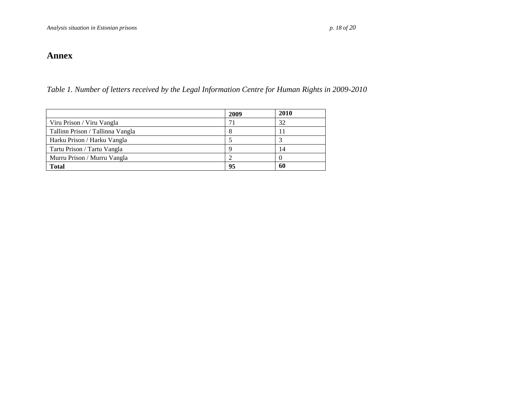# **Annex**

*Table 1. Number of letters received by the Legal Information Centre for Human Rights in 2009-2010*

<span id="page-17-1"></span><span id="page-17-0"></span>

|                                  | 2009 | 2010 |
|----------------------------------|------|------|
| Viru Prison / Viru Vangla        |      | 32   |
| Tallinn Prison / Tallinna Vangla |      |      |
| Harku Prison / Harku Vangla      |      |      |
| Tartu Prison / Tartu Vangla      |      | 14   |
| Murru Prison / Murru Vangla      |      |      |
| <b>Total</b>                     | 95   | 60   |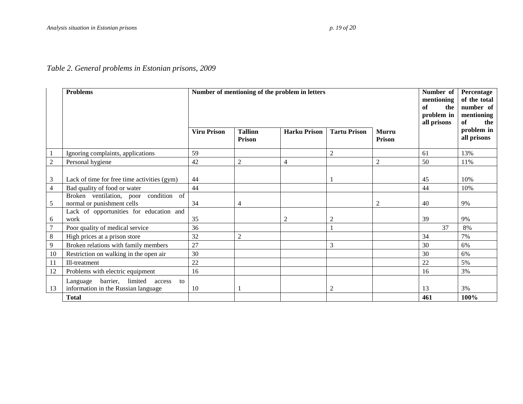# *Table 2. General problems in Estonian prisons, 2009*

<span id="page-18-0"></span>

|                | <b>Problems</b>                                                                     | Number of mentioning of the problem in letters<br><b>Viru Prison</b> | <b>Tallinn</b><br><b>Prison</b> | <b>Murru</b><br>Prison | Number of<br>mentioning<br>of<br>the<br>problem in<br>all prisons | Percentage<br>of the total<br>number of<br>mentioning<br><b>of</b><br>the<br>problem in<br>all prisons |     |      |
|----------------|-------------------------------------------------------------------------------------|----------------------------------------------------------------------|---------------------------------|------------------------|-------------------------------------------------------------------|--------------------------------------------------------------------------------------------------------|-----|------|
|                | Ignoring complaints, applications                                                   | 59                                                                   |                                 |                        | $\overline{2}$                                                    |                                                                                                        | 61  | 13%  |
| $\sqrt{2}$     | Personal hygiene                                                                    | 42                                                                   | $\overline{2}$                  | $\overline{4}$         |                                                                   | $\overline{2}$                                                                                         | 50  | 11%  |
| $\mathfrak{Z}$ | Lack of time for free time activities (gym)                                         | 44                                                                   |                                 |                        |                                                                   |                                                                                                        | 45  | 10%  |
| $\overline{4}$ | Bad quality of food or water                                                        | 44                                                                   |                                 |                        |                                                                   |                                                                                                        | 44  | 10%  |
| 5              | Broken ventilation, poor condition<br>of<br>normal or punishment cells              | 34                                                                   | 4                               |                        |                                                                   | $\overline{2}$                                                                                         | 40  | 9%   |
| 6              | Lack of opportunities for education and<br>work                                     | 35                                                                   |                                 | $\overline{c}$         | $\overline{c}$                                                    |                                                                                                        | 39  | 9%   |
| $\overline{7}$ | Poor quality of medical service                                                     | 36                                                                   |                                 |                        |                                                                   |                                                                                                        | 37  | 8%   |
| $\,8\,$        | High prices at a prison store                                                       | 32                                                                   | $\overline{2}$                  |                        |                                                                   |                                                                                                        | 34  | 7%   |
| 9              | Broken relations with family members                                                | 27                                                                   |                                 |                        | 3                                                                 |                                                                                                        | 30  | 6%   |
| 10             | Restriction on walking in the open air                                              | 30                                                                   |                                 |                        |                                                                   |                                                                                                        | 30  | 6%   |
| 11             | Ill-treatment                                                                       | 22                                                                   |                                 |                        |                                                                   |                                                                                                        | 22  | 5%   |
| 12             | Problems with electric equipment                                                    | 16                                                                   |                                 |                        |                                                                   |                                                                                                        | 16  | 3%   |
| 13             | barrier, limited<br>Language<br>access<br>to<br>information in the Russian language | 10                                                                   |                                 |                        | $\overline{2}$                                                    |                                                                                                        | 13  | 3%   |
|                | <b>Total</b>                                                                        |                                                                      |                                 |                        |                                                                   |                                                                                                        | 461 | 100% |